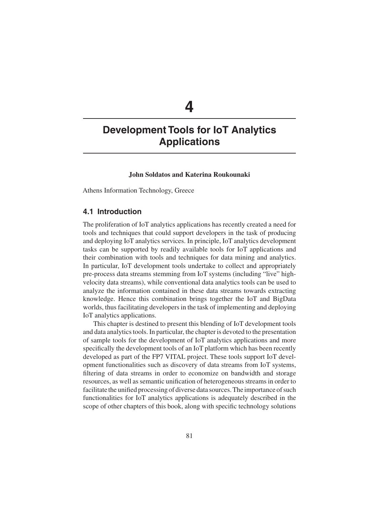# **4**

# **Development Tools for IoT Analytics Applications**

### **John Soldatos and Katerina Roukounaki**

Athens Information Technology, Greece

# **4.1 Introduction**

The proliferation of IoT analytics applications has recently created a need for tools and techniques that could support developers in the task of producing and deploying IoT analytics services. In principle, IoT analytics development tasks can be supported by readily available tools for IoT applications and their combination with tools and techniques for data mining and analytics. In particular, IoT development tools undertake to collect and appropriately pre-process data streams stemming from IoT systems (including "live" highvelocity data streams), while conventional data analytics tools can be used to analyze the information contained in these data streams towards extracting knowledge. Hence this combination brings together the IoT and BigData worlds, thus facilitating developers in the task of implementing and deploying IoT analytics applications.

This chapter is destined to present this blending of IoT development tools and data analytics tools. In particular, the chapter is devoted to the presentation of sample tools for the development of IoT analytics applications and more specifically the development tools of an IoT platform which has been recently developed as part of the FP7 VITAL project. These tools support IoT development functionalities such as discovery of data streams from IoT systems, filtering of data streams in order to economize on bandwidth and storage resources, as well as semantic unification of heterogeneous streams in order to facilitate the unified processing of diverse data sources. The importance of such functionalities for IoT analytics applications is adequately described in the scope of other chapters of this book, along with specific technology solutions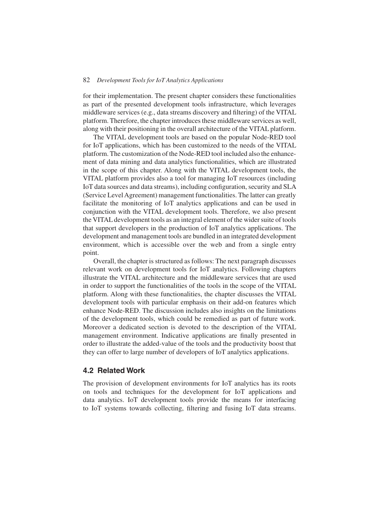for their implementation. The present chapter considers these functionalities as part of the presented development tools infrastructure, which leverages middleware services (e.g., data streams discovery and filtering) of the VITAL platform. Therefore, the chapter introduces these middleware services as well, along with their positioning in the overall architecture of the VITAL platform.

The VITAL development tools are based on the popular Node-RED tool for IoT applications, which has been customized to the needs of the VITAL platform. The customization of the Node-RED tool included also the enhancement of data mining and data analytics functionalities, which are illustrated in the scope of this chapter. Along with the VITAL development tools, the VITAL platform provides also a tool for managing IoT resources (including IoT data sources and data streams), including configuration, security and SLA (Service Level Agreement) management functionalities. The latter can greatly facilitate the monitoring of IoT analytics applications and can be used in conjunction with the VITAL development tools. Therefore, we also present the VITAL development tools as an integral element of the wider suite of tools that support developers in the production of IoT analytics applications. The development and management tools are bundled in an integrated development environment, which is accessible over the web and from a single entry point.

Overall, the chapter is structured as follows: The next paragraph discusses relevant work on development tools for IoT analytics. Following chapters illustrate the VITAL architecture and the middleware services that are used in order to support the functionalities of the tools in the scope of the VITAL platform. Along with these functionalities, the chapter discusses the VITAL development tools with particular emphasis on their add-on features which enhance Node-RED. The discussion includes also insights on the limitations of the development tools, which could be remedied as part of future work. Moreover a dedicated section is devoted to the description of the VITAL management environment. Indicative applications are finally presented in order to illustrate the added-value of the tools and the productivity boost that they can offer to large number of developers of IoT analytics applications.

## **4.2 Related Work**

The provision of development environments for IoT analytics has its roots on tools and techniques for the development for IoT applications and data analytics. IoT development tools provide the means for interfacing to IoT systems towards collecting, filtering and fusing IoT data streams.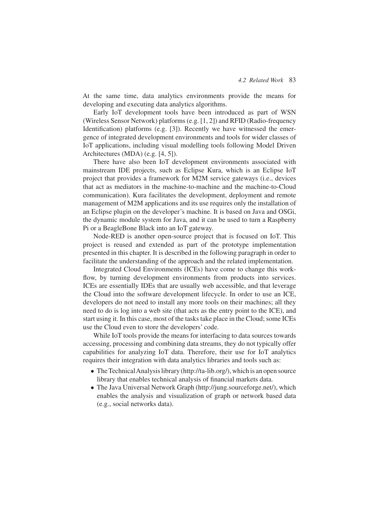At the same time, data analytics environments provide the means for developing and executing data analytics algorithms.

Early IoT development tools have been introduced as part of WSN (Wireless Sensor Network) platforms (e.g. [1, 2]) and RFID (Radio-frequency Identification) platforms (e.g. [3]). Recently we have witnessed the emergence of integrated development environments and tools for wider classes of IoT applications, including visual modelling tools following Model Driven Architectures (MDA) (e.g. [4, 5]).

There have also been IoT development environments associated with mainstream IDE projects, such as Eclipse Kura, which is an Eclipse IoT project that provides a framework for M2M service gateways (i.e., devices that act as mediators in the machine-to-machine and the machine-to-Cloud communication). Kura facilitates the development, deployment and remote management of M2M applications and its use requires only the installation of an Eclipse plugin on the developer's machine. It is based on Java and OSGi, the dynamic module system for Java, and it can be used to turn a Raspberry Pi or a BeagleBone Black into an IoT gateway.

Node-RED is another open-source project that is focused on IoT. This project is reused and extended as part of the prototype implementation presented in this chapter. It is described in the following paragraph in order to facilitate the understanding of the approach and the related implementation.

Integrated Cloud Environments (ICEs) have come to change this workflow, by turning development environments from products into services. ICEs are essentially IDEs that are usually web accessible, and that leverage the Cloud into the software development lifecycle. In order to use an ICE, developers do not need to install any more tools on their machines; all they need to do is log into a web site (that acts as the entry point to the ICE), and start using it. In this case, most of the tasks take place in the Cloud; some ICEs use the Cloud even to store the developers' code.

While IoT tools provide the means for interfacing to data sources towards accessing, processing and combining data streams, they do not typically offer capabilities for analyzing IoT data. Therefore, their use for IoT analytics requires their integration with data analytics libraries and tools such as:

- The Technical Analysis library (http://ta-lib.org/), which is an open source library that enables technical analysis of financial markets data.
- The Java Universal Network Graph (http://jung.sourceforge.net/), which enables the analysis and visualization of graph or network based data (e.g., social networks data).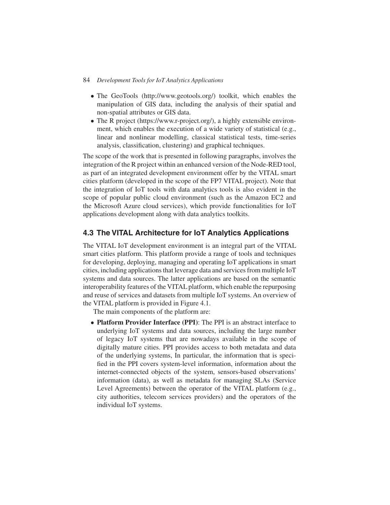- The GeoTools (http://www.geotools.org/) toolkit, which enables the manipulation of GIS data, including the analysis of their spatial and non-spatial attributes or GIS data.
- The R project (https://www.r-project.org/), a highly extensible environment, which enables the execution of a wide variety of statistical (e.g., linear and nonlinear modelling, classical statistical tests, time-series analysis, classification, clustering) and graphical techniques.

The scope of the work that is presented in following paragraphs, involves the integration of the R project within an enhanced version of the Node-RED tool, as part of an integrated development environment offer by the VITAL smart cities platform (developed in the scope of the FP7 VITAL project). Note that the integration of IoT tools with data analytics tools is also evident in the scope of popular public cloud environment (such as the Amazon EC2 and the Microsoft Azure cloud services), which provide functionalities for IoT applications development along with data analytics toolkits.

# **4.3 The VITAL Architecture for IoT Analytics Applications**

The VITAL IoT development environment is an integral part of the VITAL smart cities platform. This platform provide a range of tools and techniques for developing, deploying, managing and operating IoT applications in smart cities, including applications that leverage data and services from multiple IoT systems and data sources. The latter applications are based on the semantic interoperability features of the VITAL platform, which enable the repurposing and reuse of services and datasets from multiple IoT systems. An overview of the VITAL platform is provided in Figure 4.1.

The main components of the platform are:

• **Platform Provider Interface (PPI)**: The PPI is an abstract interface to underlying IoT systems and data sources, including the large number of legacy IoT systems that are nowadays available in the scope of digitally mature cities. PPI provides access to both metadata and data of the underlying systems, In particular, the information that is specified in the PPI covers system-level information, information about the internet-connected objects of the system, sensors-based observations' information (data), as well as metadata for managing SLAs (Service Level Agreements) between the operator of the VITAL platform (e.g., city authorities, telecom services providers) and the operators of the individual IoT systems.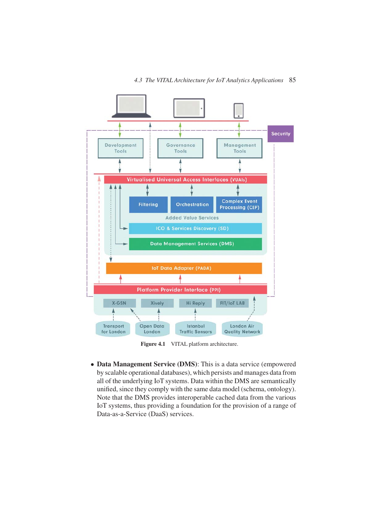

Figure 4.1 VITAL platform architecture.

• **Data Management Service (DMS)**: This is a data service (empowered by scalable operational databases), which persists and manages data from all of the underlying IoT systems. Data within the DMS are semantically unified, since they comply with the same data model (schema, ontology). Note that the DMS provides interoperable cached data from the various IoT systems, thus providing a foundation for the provision of a range of Data-as-a-Service (DaaS) services.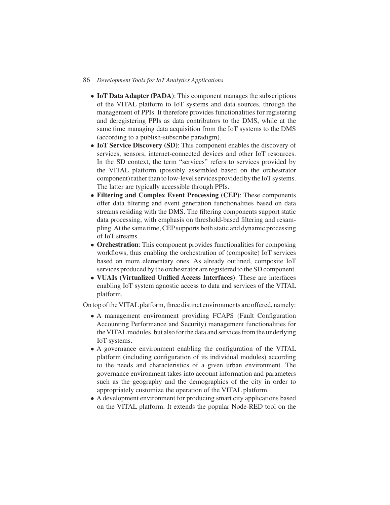- **IoT Data Adapter (PADA)**: This component manages the subscriptions of the VITAL platform to IoT systems and data sources, through the management of PPIs. It therefore provides functionalities for registering and deregistering PPIs as data contributors to the DMS, while at the same time managing data acquisition from the IoT systems to the DMS (according to a publish-subscribe paradigm).
- **IoT Service Discovery (SD)**: This component enables the discovery of services, sensors, internet-connected devices and other IoT resources. In the SD context, the term "services" refers to services provided by the VITAL platform (possibly assembled based on the orchestrator component) rather than to low-level services provided by the IoT systems. The latter are typically accessible through PPIs.
- **Filtering and Complex Event Processing (CEP)**: These components offer data filtering and event generation functionalities based on data streams residing with the DMS. The filtering components support static data processing, with emphasis on threshold-based filtering and resampling.At the same time, CEP supports both static and dynamic processing of IoT streams.
- **Orchestration**: This component provides functionalities for composing workflows, thus enabling the orchestration of (composite) IoT services based on more elementary ones. As already outlined, composite IoT services produced by the orchestrator are registered to the SD component.
- **VUAIs (Virtualized Unified Access Interfaces)**: These are interfaces enabling IoT system agnostic access to data and services of the VITAL platform.

On top of the VITAL platform, three distinct environments are offered, namely:

- A management environment providing FCAPS (Fault Configuration Accounting Performance and Security) management functionalities for the VITALmodules, but also for the data and services from the underlying IoT systems.
- A governance environment enabling the configuration of the VITAL platform (including configuration of its individual modules) according to the needs and characteristics of a given urban environment. The governance environment takes into account information and parameters such as the geography and the demographics of the city in order to appropriately customize the operation of the VITAL platform.
- A development environment for producing smart city applications based on the VITAL platform. It extends the popular Node-RED tool on the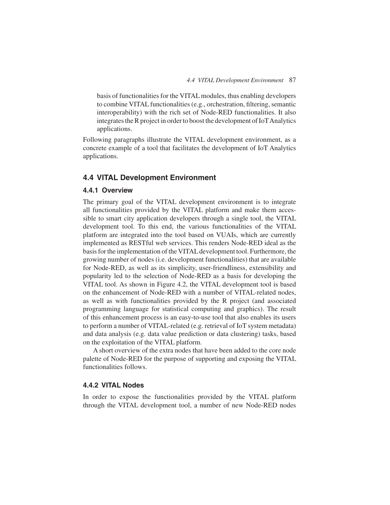basis of functionalities for the VITAL modules, thus enabling developers to combine VITAL functionalities (e.g., orchestration, filtering, semantic interoperability) with the rich set of Node-RED functionalities. It also integrates the R project in order to boost the development of IoTAnalytics applications.

Following paragraphs illustrate the VITAL development environment, as a concrete example of a tool that facilitates the development of IoT Analytics applications.

# **4.4 VITAL Development Environment**

#### **4.4.1 Overview**

The primary goal of the VITAL development environment is to integrate all functionalities provided by the VITAL platform and make them accessible to smart city application developers through a single tool, the VITAL development tool. To this end, the various functionalities of the VITAL platform are integrated into the tool based on VUAIs, which are currently implemented as RESTful web services. This renders Node-RED ideal as the basis for the implementation of the VITAL development tool. Furthermore, the growing number of nodes (i.e. development functionalities) that are available for Node-RED, as well as its simplicity, user-friendliness, extensibility and popularity led to the selection of Node-RED as a basis for developing the VITAL tool. As shown in Figure 4.2, the VITAL development tool is based on the enhancement of Node-RED with a number of VITAL-related nodes, as well as with functionalities provided by the R project (and associated programming language for statistical computing and graphics). The result of this enhancement process is an easy-to-use tool that also enables its users to perform a number of VITAL-related (e.g. retrieval of IoT system metadata) and data analysis (e.g. data value prediction or data clustering) tasks, based on the exploitation of the VITAL platform.

A short overview of the extra nodes that have been added to the core node palette of Node-RED for the purpose of supporting and exposing the VITAL functionalities follows.

# **4.4.2 VITAL Nodes**

In order to expose the functionalities provided by the VITAL platform through the VITAL development tool, a number of new Node-RED nodes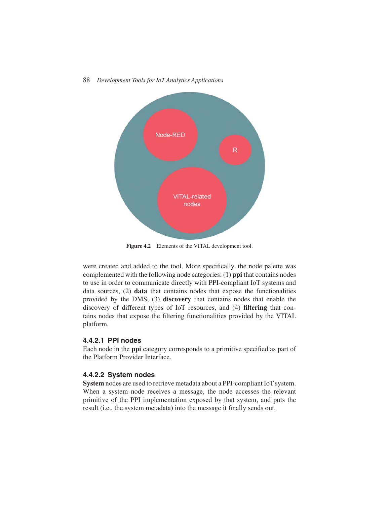

**Figure 4.2** Elements of the VITAL development tool.

were created and added to the tool. More specifically, the node palette was complemented with the following node categories: (1) **ppi** that contains nodes to use in order to communicate directly with PPI-compliant IoT systems and data sources, (2) **data** that contains nodes that expose the functionalities provided by the DMS, (3) **discovery** that contains nodes that enable the discovery of different types of IoT resources, and (4) **filtering** that contains nodes that expose the filtering functionalities provided by the VITAL platform.

## **4.4.2.1 PPI nodes**

Each node in the **ppi** category corresponds to a primitive specified as part of the Platform Provider Interface.

## **4.4.2.2 System nodes**

**System** nodes are used to retrieve metadata about a PPI-compliant IoT system. When a system node receives a message, the node accesses the relevant primitive of the PPI implementation exposed by that system, and puts the result (i.e., the system metadata) into the message it finally sends out.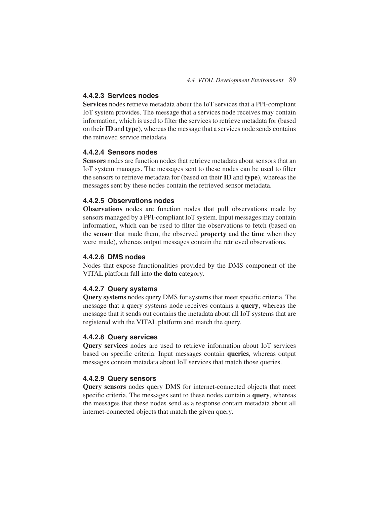# **4.4.2.3 Services nodes**

**Services** nodes retrieve metadata about the IoT services that a PPI-compliant IoT system provides. The message that a services node receives may contain information, which is used to filter the services to retrieve metadata for (based on their **ID** and **type**), whereas the message that a services node sends contains the retrieved service metadata.

# **4.4.2.4 Sensors nodes**

**Sensors** nodes are function nodes that retrieve metadata about sensors that an IoT system manages. The messages sent to these nodes can be used to filter the sensors to retrieve metadata for (based on their **ID** and **type**), whereas the messages sent by these nodes contain the retrieved sensor metadata.

## **4.4.2.5 Observations nodes**

**Observations** nodes are function nodes that pull observations made by sensors managed by a PPI-compliant IoT system. Input messages may contain information, which can be used to filter the observations to fetch (based on the **sensor** that made them, the observed **property** and the **time** when they were made), whereas output messages contain the retrieved observations.

#### **4.4.2.6 DMS nodes**

Nodes that expose functionalities provided by the DMS component of the VITAL platform fall into the **data** category.

#### **4.4.2.7 Query systems**

**Query systems** nodes query DMS for systems that meet specific criteria. The message that a query systems node receives contains a **query**, whereas the message that it sends out contains the metadata about all IoT systems that are registered with the VITAL platform and match the query.

### **4.4.2.8 Query services**

**Query services** nodes are used to retrieve information about IoT services based on specific criteria. Input messages contain **queries**, whereas output messages contain metadata about IoT services that match those queries.

### **4.4.2.9 Query sensors**

**Query sensors** nodes query DMS for internet-connected objects that meet specific criteria. The messages sent to these nodes contain a **query**, whereas the messages that these nodes send as a response contain metadata about all internet-connected objects that match the given query.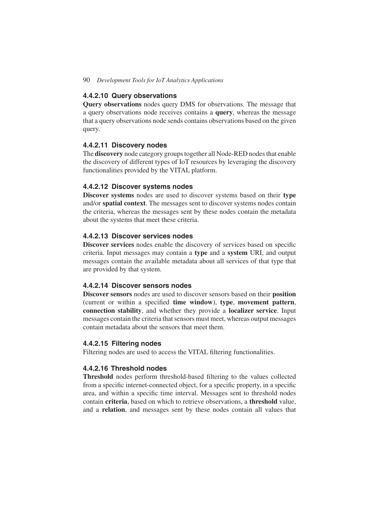#### **4.4.2.10 Query observations**

**Query observations** nodes query DMS for observations. The message that a query observations node receives contains a **query**, whereas the message that a query observations node sends contains observations based on the given query.

#### **4.4.2.11 Discovery nodes**

The **discovery** node category groups together all Node-RED nodes that enable the discovery of different types of IoT resources by leveraging the discovery functionalities provided by the VITAL platform.

#### **4.4.2.12 Discover systems nodes**

**Discover systems** nodes are used to discover systems based on their **type** and/or **spatial context**. The messages sent to discover systems nodes contain the criteria, whereas the messages sent by these nodes contain the metadata about the systems that meet these criteria.

## **4.4.2.13 Discover services nodes**

**Discover services** nodes enable the discovery of services based on specific criteria. Input messages may contain a **type** and a **system** URI, and output messages contain the available metadata about all services of that type that are provided by that system.

# **4.4.2.14 Discover sensors nodes**

**Discover sensors** nodes are used to discover sensors based on their **position** (current or within a specified **time window**), **type**, **movement pattern**, **connection stability**, and whether they provide a **localizer service**. Input messages contain the criteria that sensors must meet, whereas output messages contain metadata about the sensors that meet them.

## **4.4.2.15 Filtering nodes**

Filtering nodes are used to access the VITAL filtering functionalities.

# **4.4.2.16 Threshold nodes**

**Threshold** nodes perform threshold-based filtering to the values collected from a specific internet-connected object, for a specific property, in a specific area, and within a specific time interval. Messages sent to threshold nodes contain **criteria**, based on which to retrieve observations, a **threshold** value, and a **relation**, and messages sent by these nodes contain all values that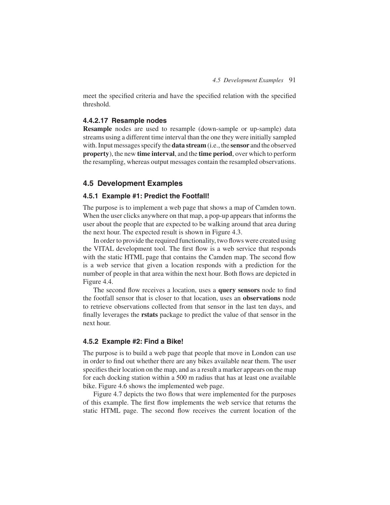meet the specified criteria and have the specified relation with the specified threshold.

### **4.4.2.17 Resample nodes**

**Resample** nodes are used to resample (down-sample or up-sample) data streams using a different time interval than the one they were initially sampled with. Input messages specify the **data stream** (i.e., the **sensor** and the observed **property**), the new **time interval**, and the **time period**, over which to perform the resampling, whereas output messages contain the resampled observations.

# **4.5 Development Examples**

# **4.5.1 Example #1: Predict the Footfall!**

The purpose is to implement a web page that shows a map of Camden town. When the user clicks anywhere on that map, a pop-up appears that informs the user about the people that are expected to be walking around that area during the next hour. The expected result is shown in Figure 4.3.

In order to provide the required functionality, two flows were created using the VITAL development tool. The first flow is a web service that responds with the static HTML page that contains the Camden map. The second flow is a web service that given a location responds with a prediction for the number of people in that area within the next hour. Both flows are depicted in Figure 4.4.

The second flow receives a location, uses a **query sensors** node to find the footfall sensor that is closer to that location, uses an **observations** node to retrieve observations collected from that sensor in the last ten days, and finally leverages the **rstats** package to predict the value of that sensor in the next hour.

#### **4.5.2 Example #2: Find a Bike!**

The purpose is to build a web page that people that move in London can use in order to find out whether there are any bikes available near them. The user specifies their location on the map, and as a result a marker appears on the map for each docking station within a 500 m radius that has at least one available bike. Figure 4.6 shows the implemented web page.

Figure 4.7 depicts the two flows that were implemented for the purposes of this example. The first flow implements the web service that returns the static HTML page. The second flow receives the current location of the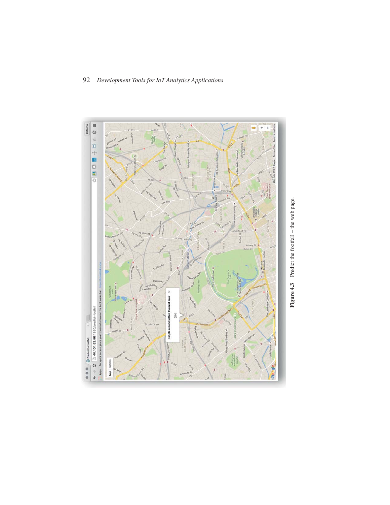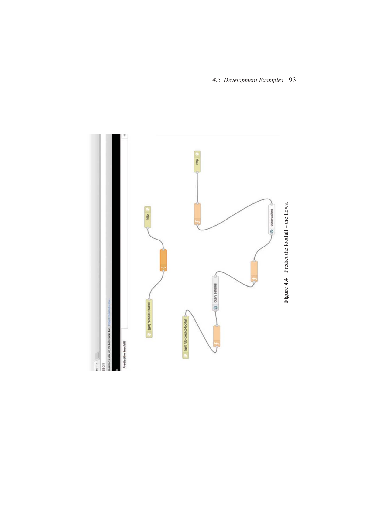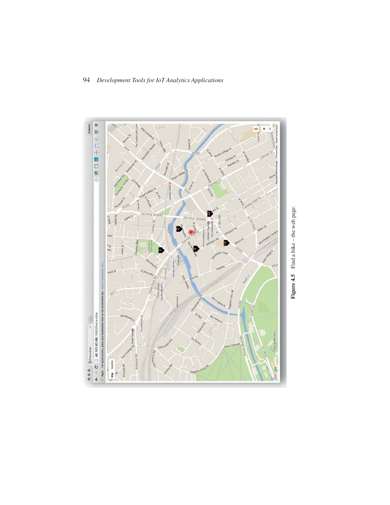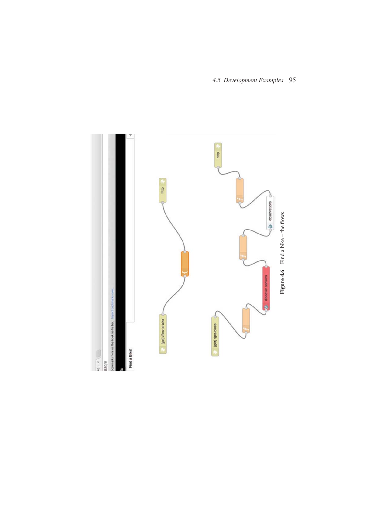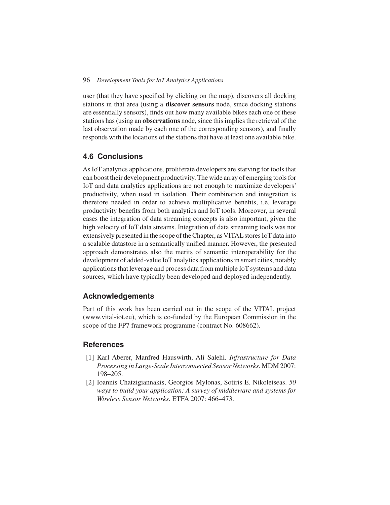user (that they have specified by clicking on the map), discovers all docking stations in that area (using a **discover sensors** node, since docking stations are essentially sensors), finds out how many available bikes each one of these stations has (using an **observations** node, since this implies the retrieval of the last observation made by each one of the corresponding sensors), and finally responds with the locations of the stations that have at least one available bike.

# **4.6 Conclusions**

As IoT analytics applications, proliferate developers are starving for tools that can boost their development productivity. The wide array of emerging tools for IoT and data analytics applications are not enough to maximize developers' productivity, when used in isolation. Their combination and integration is therefore needed in order to achieve multiplicative benefits, i.e. leverage productivity benefits from both analytics and IoT tools. Moreover, in several cases the integration of data streaming concepts is also important, given the high velocity of IoT data streams. Integration of data streaming tools was not extensively presented in the scope of the Chapter, as VITAL stores IoT data into a scalable datastore in a semantically unified manner. However, the presented approach demonstrates also the merits of semantic interoperability for the development of added-value IoT analytics applications in smart cities, notably applications that leverage and process data from multiple IoT systems and data sources, which have typically been developed and deployed independently.

## **Acknowledgements**

Part of this work has been carried out in the scope of the VITAL project (www.vital-iot.eu), which is co-funded by the European Commission in the scope of the FP7 framework programme (contract No. 608662).

## **References**

- [1] Karl Aberer, Manfred Hauswirth, Ali Salehi. *Infrastructure for Data Processing in Large-Scale Interconnected Sensor Networks*. MDM 2007: 198–205.
- [2] Ioannis Chatzigiannakis, Georgios Mylonas, Sotiris E. Nikoletseas. *50 ways to build your application: A survey of middleware and systems for Wireless Sensor Networks*. ETFA 2007: 466–473.